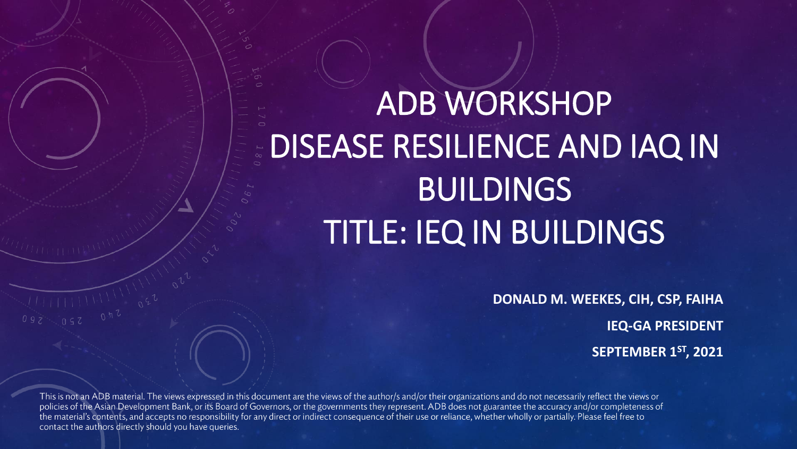# ADB WORKSHOP DISEASE RESILIENCE AND IAQ IN **BUILDINGS** TITLE: IEQ IN BUILDINGS

**DONALD M. WEEKES, CIH, CSP, FAIHA IEQ-GA PRESIDENT SEPTEMBER 1ST, 2021**

This is not an ADB material. The views expressed in this document are the views of the author/s and/or their organizations and do not necessarily reflect the views or policies of the Asian Development Bank, or its Board of Governors, or the governments they represent. ADB does not guarantee the accuracy and/or completeness of the material's contents, and accepts no responsibility for any direct or indirect consequence of their use or reliance, whether wholly or partially. Please feel free to contact the authors directly should you have queries.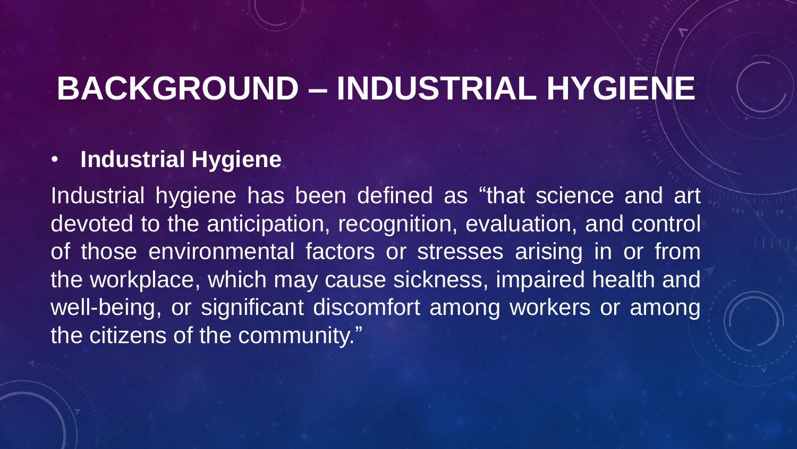# **BACKGROUND – INDUSTRIAL HYGIENE**

#### • **Industrial Hygiene**

Industrial hygiene has been defined as "that science and art devoted to the anticipation, recognition, evaluation, and control of those environmental factors or stresses arising in or from the workplace, which may cause sickness, impaired health and well-being, or significant discomfort among workers or among the citizens of the community."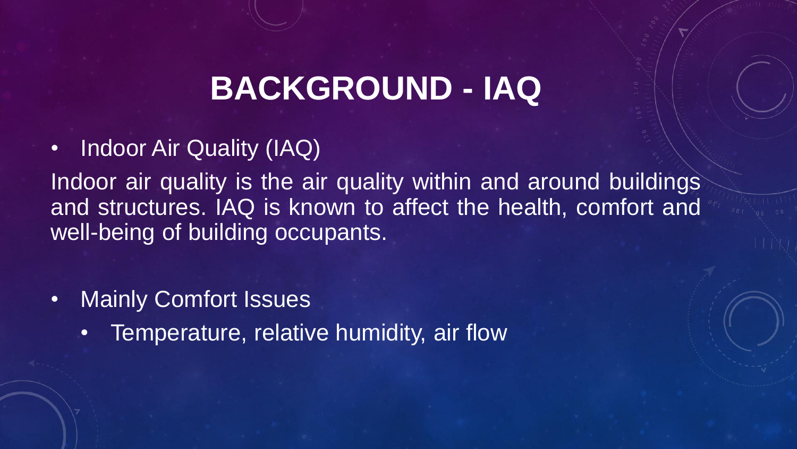# **BACKGROUND - IAQ**

• Indoor Air Quality (IAQ)

Indoor air quality is the air quality within and around buildings and structures. IAQ is known to affect the health, comfort and well-being of building occupants.

- Mainly Comfort Issues
	- Temperature, relative humidity, air flow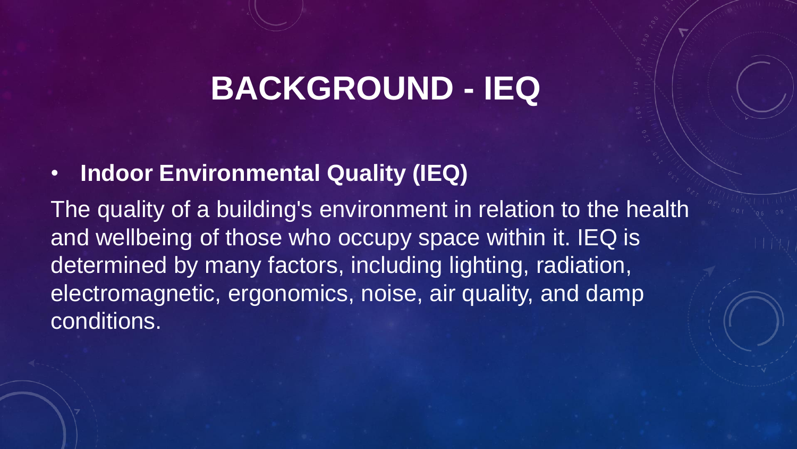### **BACKGROUND - IEQ**

• **Indoor Environmental Quality (IEQ)** 

The quality of a building's environment in relation to the health and wellbeing of those who occupy space within it. IEQ is determined by many factors, including lighting, radiation, electromagnetic, ergonomics, noise, air quality, and damp conditions.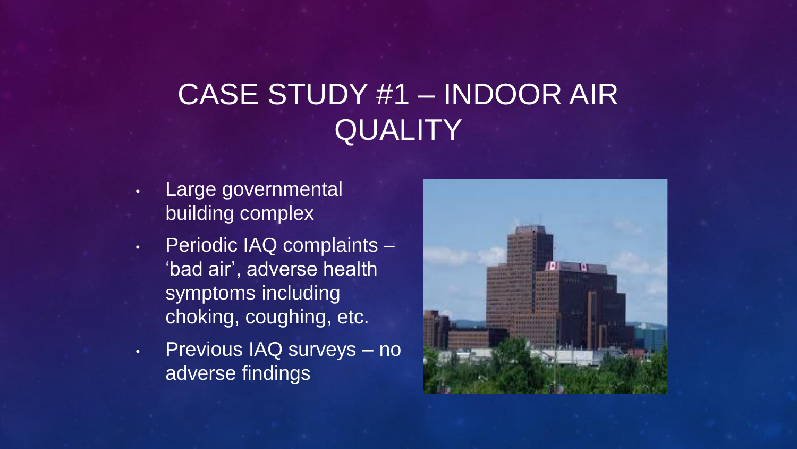#### CASE STUDY #1 – INDOOR AIR **QUALITY**

- Large governmental building complex
- Periodic IAQ complaints 'bad air', adverse health symptoms including choking, coughing, etc.
- Previous IAQ surveys no adverse findings

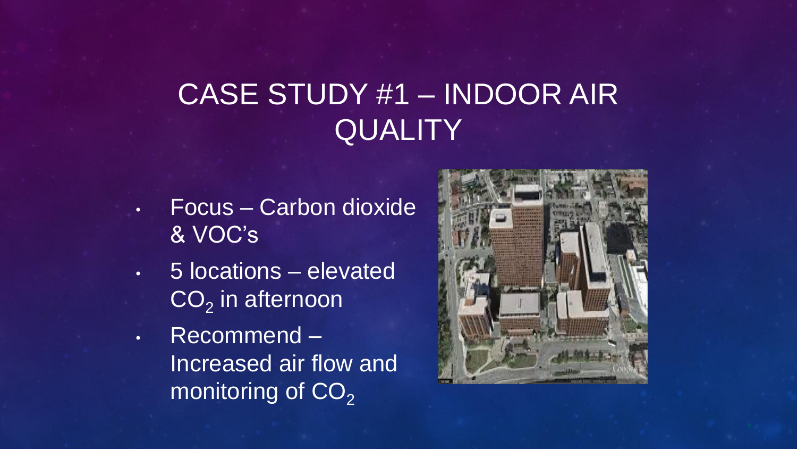#### CASE STUDY #1 – INDOOR AIR **QUALITY**

- Focus Carbon dioxide & VOC's
- 5 locations elevated  $CO<sub>2</sub>$  in afternoon
- Recommend Increased air flow and monitoring of  $CO<sub>2</sub>$

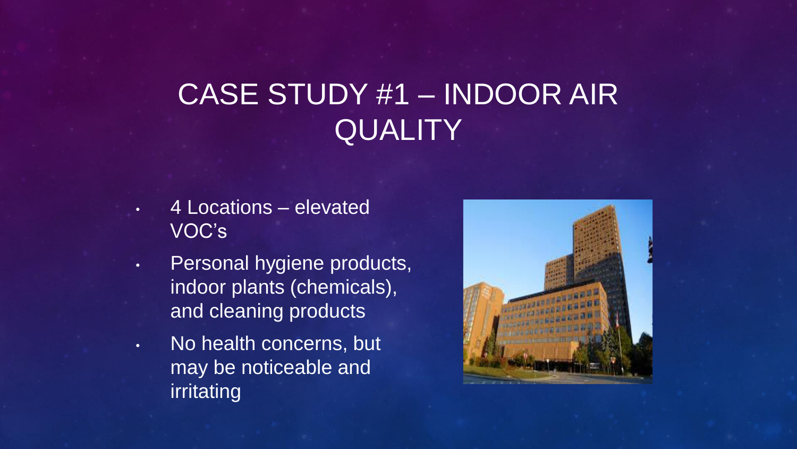#### CASE STUDY #1 – INDOOR AIR **QUALITY**

- 4 Locations elevated VOC's
- Personal hygiene products, indoor plants (chemicals), and cleaning products
- No health concerns, but may be noticeable and irritating

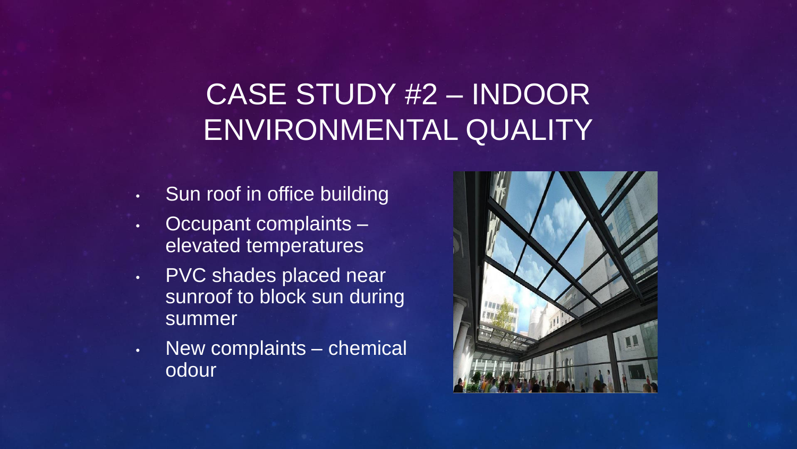### CASE STUDY #2 – INDOOR ENVIRONMENTAL QUALITY

- Sun roof in office building
- Occupant complaints elevated temperatures
- PVC shades placed near sunroof to block sun during summer
- New complaints chemical odour

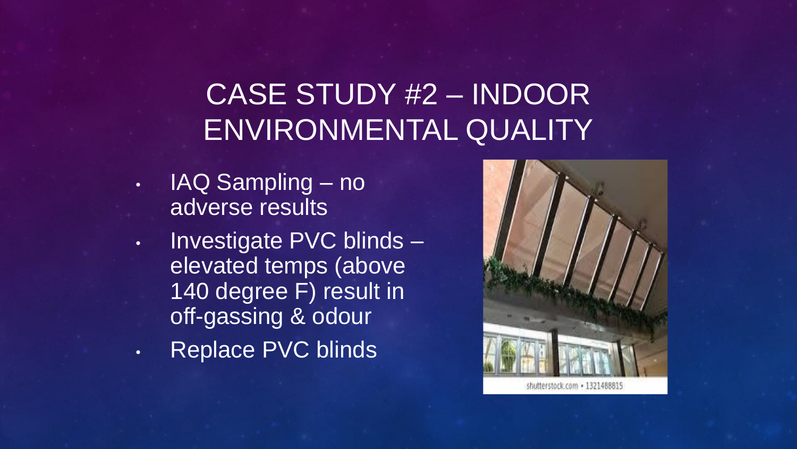#### CASE STUDY #2 – INDOOR ENVIRONMENTAL QUALITY

- IAQ Sampling no adverse results
- Investigate PVC blinds elevated temps (above 140 degree F) result in off-gassing & odour
- Replace PVC blinds

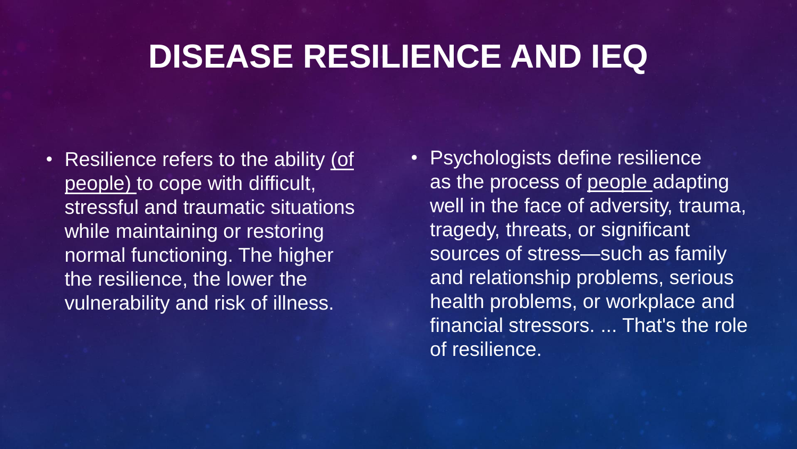### **DISEASE RESILIENCE AND IEQ**

• Resilience refers to the ability (of people) to cope with difficult, stressful and traumatic situations while maintaining or restoring normal functioning. The higher the resilience, the lower the vulnerability and risk of illness.

• Psychologists define resilience as the process of people adapting well in the face of adversity, trauma, tragedy, threats, or significant sources of stress—such as family and relationship problems, serious health problems, or workplace and financial stressors. ... That's the role of resilience.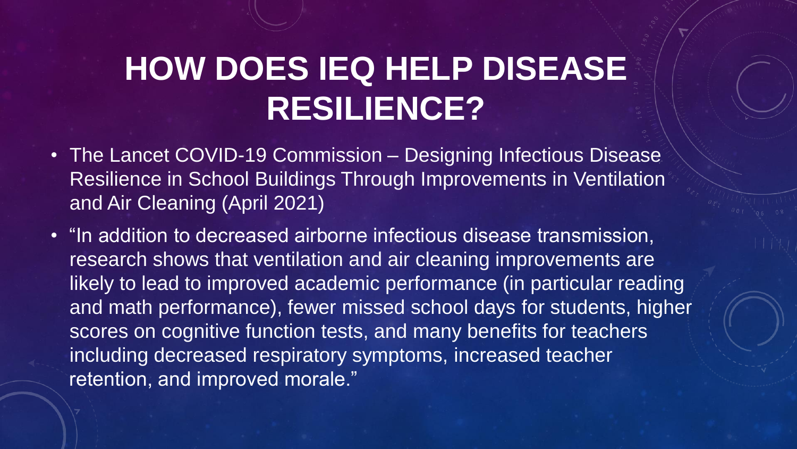# **HOW DOES IEQ HELP DISEASE RESILIENCE?**

- The Lancet COVID-19 Commission Designing Infectious Disease Resilience in School Buildings Through Improvements in Ventilation and Air Cleaning (April 2021)
- "In addition to decreased airborne infectious disease transmission, research shows that ventilation and air cleaning improvements are likely to lead to improved academic performance (in particular reading and math performance), fewer missed school days for students, higher scores on cognitive function tests, and many benefits for teachers including decreased respiratory symptoms, increased teacher retention, and improved morale."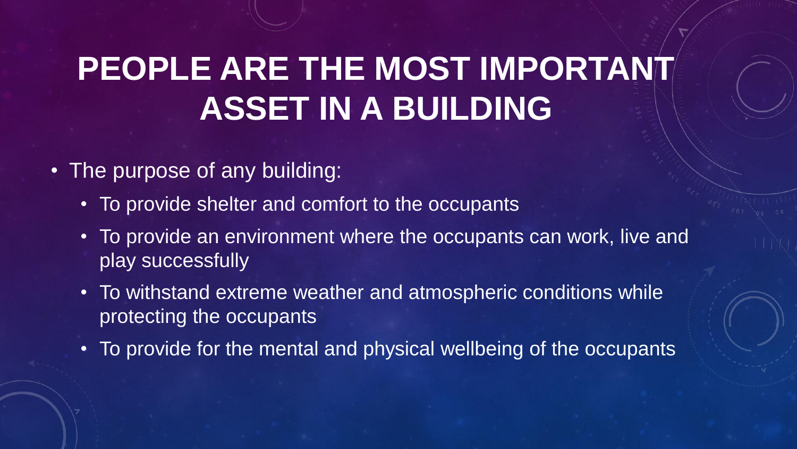# **PEOPLE ARE THE MOST IMPORTANT ASSET IN A BUILDING**

- The purpose of any building:
	- To provide shelter and comfort to the occupants
	- To provide an environment where the occupants can work, live and play successfully
	- To withstand extreme weather and atmospheric conditions while protecting the occupants
	- To provide for the mental and physical wellbeing of the occupants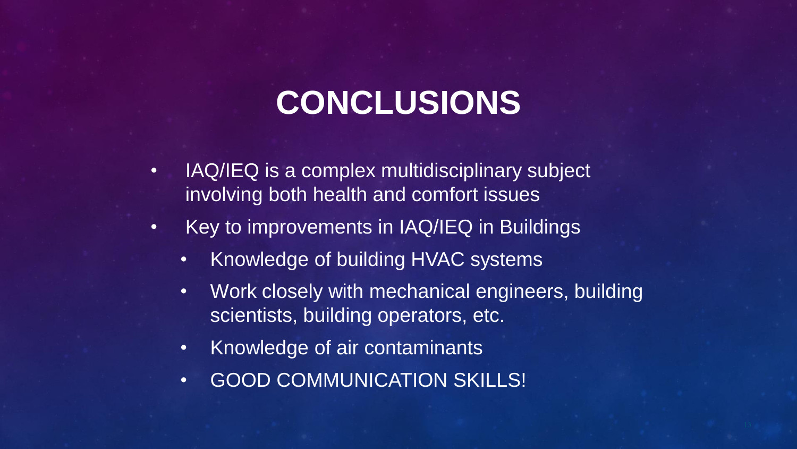# **CONCLUSIONS**

- IAQ/IEQ is a complex multidisciplinary subject involving both health and comfort issues
- Key to improvements in IAQ/IEQ in Buildings
	- Knowledge of building HVAC systems
	- Work closely with mechanical engineers, building scientists, building operators, etc.
	- Knowledge of air contaminants
	- GOOD COMMUNICATION SKILLS!